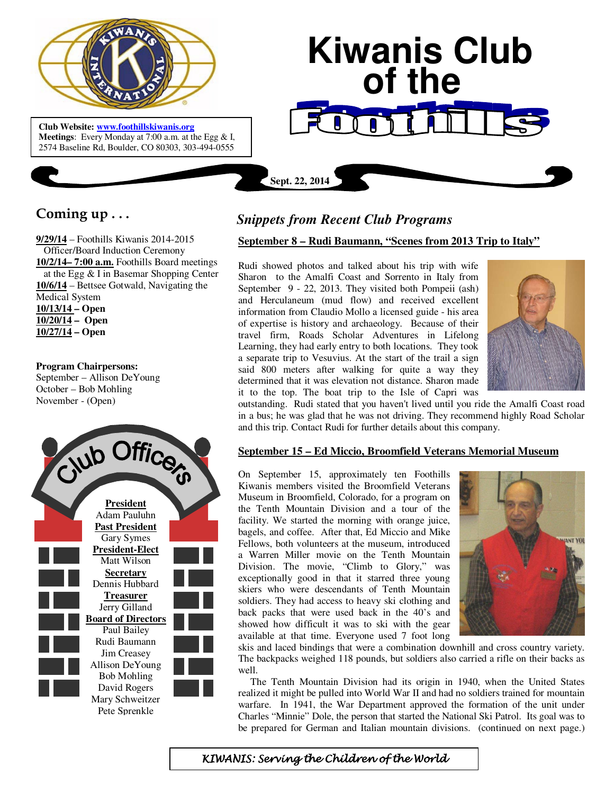

 **Meetings**: Every Monday at 7:00 a.m. at the Egg & I, **Club Website: www.foothillskiwanis.org** 2574 Baseline Rd, Boulder, CO 80303, 303-494-0555

# **Kiwanis Club of the**

# **Coming up . . .**

**9/29/14** – Foothills Kiwanis 2014-2015 Officer/Board Induction Ceremony **10/2/14– 7:00 a.m.** Foothills Board meetings at the Egg & I in Basemar Shopping Center **10/6/14** – Bettsee Gotwald, Navigating the Medical System **10/13/14 – Open 10/20/14 – Open 10/27/14 – Open** 

### **Program Chairpersons:**

September – Allison DeYoung October – Bob Mohling November - (Open)



# *Snippets from Recent Club Programs*

**Sept. 22, 2014**

# **September 8 – Rudi Baumann, "Scenes from 2013 Trip to Italy"**

Rudi showed photos and talked about his trip with wife Sharon to the Amalfi Coast and Sorrento in Italy from September 9 - 22, 2013. They visited both Pompeii (ash) and Herculaneum (mud flow) and received excellent information from Claudio Mollo a licensed guide - his area of expertise is history and archaeology. Because of their travel firm, Roads Scholar Adventures in Lifelong Learning, they had early entry to both locations. They took a separate trip to Vesuvius. At the start of the trail a sign said 800 meters after walking for quite a way they determined that it was elevation not distance. Sharon made it to the top. The boat trip to the Isle of Capri was



outstanding. Rudi stated that you haven't lived until you ride the Amalfi Coast road in a bus; he was glad that he was not driving. They recommend highly Road Scholar and this trip. Contact Rudi for further details about this company.

## **September 15 – Ed Miccio, Broomfield Veterans Memorial Museum**

On September 15, approximately ten Foothills Kiwanis members visited the Broomfield Veterans Museum in Broomfield, Colorado, for a program on the Tenth Mountain Division and a tour of the facility. We started the morning with orange juice, bagels, and coffee. After that, Ed Miccio and Mike Fellows, both volunteers at the museum, introduced a Warren Miller movie on the Tenth Mountain Division. The movie, "Climb to Glory," was exceptionally good in that it starred three young skiers who were descendants of Tenth Mountain soldiers. They had access to heavy ski clothing and back packs that were used back in the 40's and showed how difficult it was to ski with the gear available at that time. Everyone used 7 foot long



skis and laced bindings that were a combination downhill and cross country variety. The backpacks weighed 118 pounds, but soldiers also carried a rifle on their backs as well.

 The Tenth Mountain Division had its origin in 1940, when the United States realized it might be pulled into World War II and had no soldiers trained for mountain warfare. In 1941, the War Department approved the formation of the unit under Charles "Minnie" Dole, the person that started the National Ski Patrol. Its goal was to be prepared for German and Italian mountain divisions. (continued on next page.)